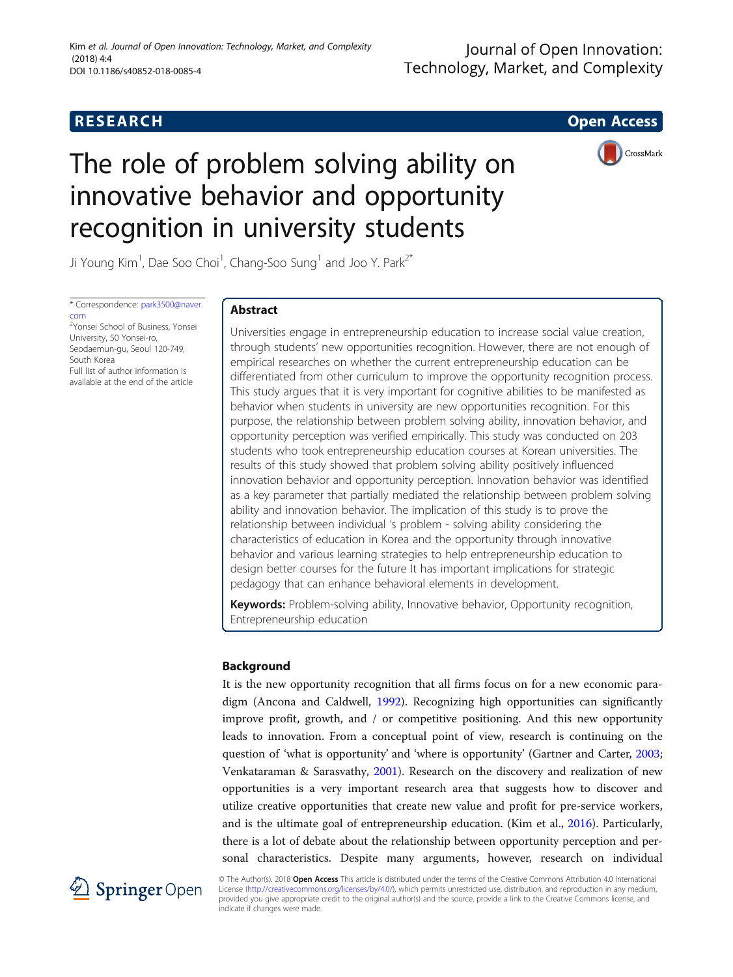# The role of problem solving ability on innovative behavior and opportunity recognition in university students



Ji Young Kim<sup>1</sup>, Dae Soo Choi<sup>1</sup>, Chang-Soo Sung<sup>1</sup> and Joo Y. Park<sup>2\*</sup>

\* Correspondence: [park3500@naver.](mailto:park3500@naver.com) [com](mailto:park3500@naver.com)

<sup>2</sup>Yonsei School of Business, Yonsei University, 50 Yonsei-ro, Seodaemun-gu, Seoul 120-749, South Korea Full list of author information is available at the end of the article

# Abstract

Universities engage in entrepreneurship education to increase social value creation, through students' new opportunities recognition. However, there are not enough of empirical researches on whether the current entrepreneurship education can be differentiated from other curriculum to improve the opportunity recognition process. This study argues that it is very important for cognitive abilities to be manifested as behavior when students in university are new opportunities recognition. For this purpose, the relationship between problem solving ability, innovation behavior, and opportunity perception was verified empirically. This study was conducted on 203 students who took entrepreneurship education courses at Korean universities. The results of this study showed that problem solving ability positively influenced innovation behavior and opportunity perception. Innovation behavior was identified as a key parameter that partially mediated the relationship between problem solving ability and innovation behavior. The implication of this study is to prove the relationship between individual 's problem - solving ability considering the characteristics of education in Korea and the opportunity through innovative behavior and various learning strategies to help entrepreneurship education to design better courses for the future It has important implications for strategic pedagogy that can enhance behavioral elements in development.

Keywords: Problem-solving ability, Innovative behavior, Opportunity recognition, Entrepreneurship education

# Background

It is the new opportunity recognition that all firms focus on for a new economic paradigm (Ancona and Caldwell, [1992\)](#page-11-0). Recognizing high opportunities can significantly improve profit, growth, and / or competitive positioning. And this new opportunity leads to innovation. From a conceptual point of view, research is continuing on the question of 'what is opportunity' and 'where is opportunity' (Gartner and Carter, [2003](#page-11-0); Venkataraman & Sarasvathy, [2001](#page-12-0)). Research on the discovery and realization of new opportunities is a very important research area that suggests how to discover and utilize creative opportunities that create new value and profit for pre-service workers, and is the ultimate goal of entrepreneurship education. (Kim et al., [2016](#page-11-0)). Particularly, there is a lot of debate about the relationship between opportunity perception and personal characteristics. Despite many arguments, however, research on individual



© The Author(s). 2018 Open Access This article is distributed under the terms of the Creative Commons Attribution 4.0 International License [\(http://creativecommons.org/licenses/by/4.0/](http://creativecommons.org/licenses/by/4.0/)), which permits unrestricted use, distribution, and reproduction in any medium, provided you give appropriate credit to the original author(s) and the source, provide a link to the Creative Commons license, and indicate if changes were made.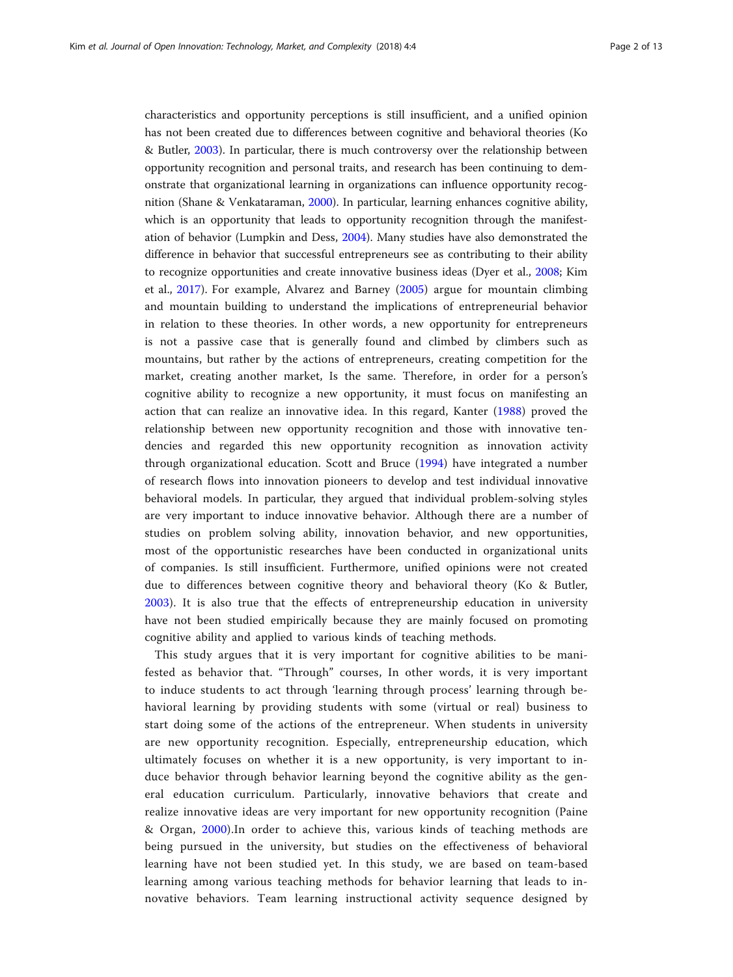characteristics and opportunity perceptions is still insufficient, and a unified opinion has not been created due to differences between cognitive and behavioral theories (Ko & Butler, [2003\)](#page-12-0). In particular, there is much controversy over the relationship between opportunity recognition and personal traits, and research has been continuing to demonstrate that organizational learning in organizations can influence opportunity recognition (Shane & Venkataraman, [2000](#page-12-0)). In particular, learning enhances cognitive ability, which is an opportunity that leads to opportunity recognition through the manifestation of behavior (Lumpkin and Dess, [2004\)](#page-12-0). Many studies have also demonstrated the difference in behavior that successful entrepreneurs see as contributing to their ability to recognize opportunities and create innovative business ideas (Dyer et al., [2008;](#page-11-0) Kim et al., [2017](#page-11-0)). For example, Alvarez and Barney ([2005\)](#page-11-0) argue for mountain climbing and mountain building to understand the implications of entrepreneurial behavior in relation to these theories. In other words, a new opportunity for entrepreneurs is not a passive case that is generally found and climbed by climbers such as mountains, but rather by the actions of entrepreneurs, creating competition for the market, creating another market, Is the same. Therefore, in order for a person's cognitive ability to recognize a new opportunity, it must focus on manifesting an action that can realize an innovative idea. In this regard, Kanter [\(1988](#page-11-0)) proved the relationship between new opportunity recognition and those with innovative tendencies and regarded this new opportunity recognition as innovation activity through organizational education. Scott and Bruce ([1994\)](#page-12-0) have integrated a number of research flows into innovation pioneers to develop and test individual innovative behavioral models. In particular, they argued that individual problem-solving styles are very important to induce innovative behavior. Although there are a number of studies on problem solving ability, innovation behavior, and new opportunities, most of the opportunistic researches have been conducted in organizational units of companies. Is still insufficient. Furthermore, unified opinions were not created due to differences between cognitive theory and behavioral theory (Ko & Butler, [2003\)](#page-12-0). It is also true that the effects of entrepreneurship education in university have not been studied empirically because they are mainly focused on promoting cognitive ability and applied to various kinds of teaching methods.

This study argues that it is very important for cognitive abilities to be manifested as behavior that. "Through" courses, In other words, it is very important to induce students to act through 'learning through process' learning through behavioral learning by providing students with some (virtual or real) business to start doing some of the actions of the entrepreneur. When students in university are new opportunity recognition. Especially, entrepreneurship education, which ultimately focuses on whether it is a new opportunity, is very important to induce behavior through behavior learning beyond the cognitive ability as the general education curriculum. Particularly, innovative behaviors that create and realize innovative ideas are very important for new opportunity recognition (Paine & Organ, [2000\)](#page-12-0).In order to achieve this, various kinds of teaching methods are being pursued in the university, but studies on the effectiveness of behavioral learning have not been studied yet. In this study, we are based on team-based learning among various teaching methods for behavior learning that leads to innovative behaviors. Team learning instructional activity sequence designed by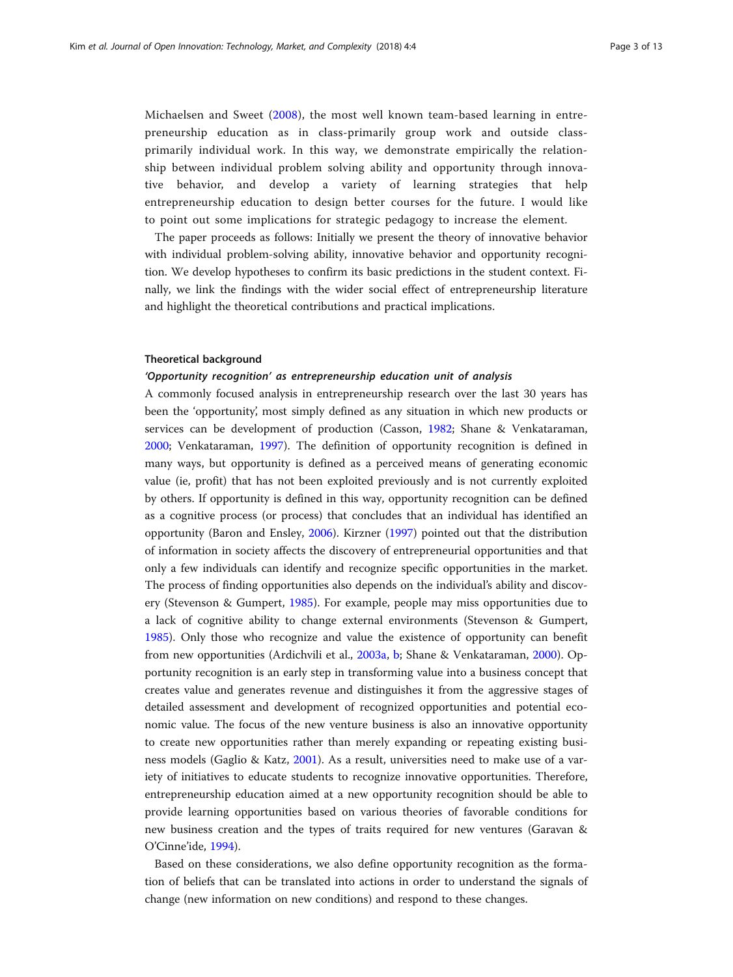Michaelsen and Sweet ([2008](#page-12-0)), the most well known team-based learning in entrepreneurship education as in class-primarily group work and outside classprimarily individual work. In this way, we demonstrate empirically the relationship between individual problem solving ability and opportunity through innovative behavior, and develop a variety of learning strategies that help entrepreneurship education to design better courses for the future. I would like to point out some implications for strategic pedagogy to increase the element.

The paper proceeds as follows: Initially we present the theory of innovative behavior with individual problem-solving ability, innovative behavior and opportunity recognition. We develop hypotheses to confirm its basic predictions in the student context. Finally, we link the findings with the wider social effect of entrepreneurship literature and highlight the theoretical contributions and practical implications.

# Theoretical background

# 'Opportunity recognition' as entrepreneurship education unit of analysis

A commonly focused analysis in entrepreneurship research over the last 30 years has been the 'opportunity', most simply defined as any situation in which new products or services can be development of production (Casson, [1982](#page-11-0); Shane & Venkataraman, [2000](#page-12-0); Venkataraman, [1997](#page-12-0)). The definition of opportunity recognition is defined in many ways, but opportunity is defined as a perceived means of generating economic value (ie, profit) that has not been exploited previously and is not currently exploited by others. If opportunity is defined in this way, opportunity recognition can be defined as a cognitive process (or process) that concludes that an individual has identified an opportunity (Baron and Ensley, [2006](#page-11-0)). Kirzner [\(1997\)](#page-12-0) pointed out that the distribution of information in society affects the discovery of entrepreneurial opportunities and that only a few individuals can identify and recognize specific opportunities in the market. The process of finding opportunities also depends on the individual's ability and discovery (Stevenson & Gumpert, [1985\)](#page-12-0). For example, people may miss opportunities due to a lack of cognitive ability to change external environments (Stevenson & Gumpert, [1985](#page-12-0)). Only those who recognize and value the existence of opportunity can benefit from new opportunities (Ardichvili et al., [2003a](#page-11-0), [b;](#page-11-0) Shane & Venkataraman, [2000\)](#page-12-0). Opportunity recognition is an early step in transforming value into a business concept that creates value and generates revenue and distinguishes it from the aggressive stages of detailed assessment and development of recognized opportunities and potential economic value. The focus of the new venture business is also an innovative opportunity to create new opportunities rather than merely expanding or repeating existing business models (Gaglio & Katz, [2001](#page-11-0)). As a result, universities need to make use of a variety of initiatives to educate students to recognize innovative opportunities. Therefore, entrepreneurship education aimed at a new opportunity recognition should be able to provide learning opportunities based on various theories of favorable conditions for new business creation and the types of traits required for new ventures (Garavan & O'Cinne'ide, [1994](#page-11-0)).

Based on these considerations, we also define opportunity recognition as the formation of beliefs that can be translated into actions in order to understand the signals of change (new information on new conditions) and respond to these changes.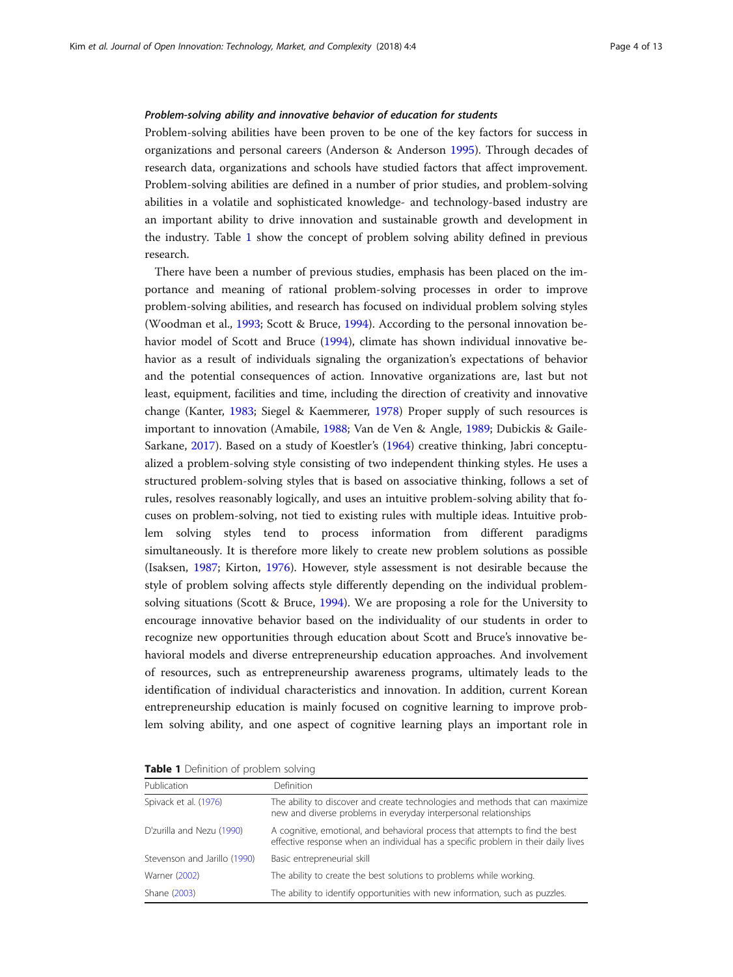#### Problem-solving ability and innovative behavior of education for students

Problem-solving abilities have been proven to be one of the key factors for success in organizations and personal careers (Anderson & Anderson [1995\)](#page-11-0). Through decades of research data, organizations and schools have studied factors that affect improvement. Problem-solving abilities are defined in a number of prior studies, and problem-solving abilities in a volatile and sophisticated knowledge- and technology-based industry are an important ability to drive innovation and sustainable growth and development in the industry. Table 1 show the concept of problem solving ability defined in previous research.

There have been a number of previous studies, emphasis has been placed on the importance and meaning of rational problem-solving processes in order to improve problem-solving abilities, and research has focused on individual problem solving styles (Woodman et al., [1993;](#page-12-0) Scott & Bruce, [1994](#page-12-0)). According to the personal innovation behavior model of Scott and Bruce [\(1994](#page-12-0)), climate has shown individual innovative behavior as a result of individuals signaling the organization's expectations of behavior and the potential consequences of action. Innovative organizations are, last but not least, equipment, facilities and time, including the direction of creativity and innovative change (Kanter, [1983](#page-11-0); Siegel & Kaemmerer, [1978](#page-12-0)) Proper supply of such resources is important to innovation (Amabile, [1988](#page-11-0); Van de Ven & Angle, [1989](#page-12-0); Dubickis & Gaile-Sarkane, [2017\)](#page-11-0). Based on a study of Koestler's [\(1964\)](#page-12-0) creative thinking, Jabri conceptualized a problem-solving style consisting of two independent thinking styles. He uses a structured problem-solving styles that is based on associative thinking, follows a set of rules, resolves reasonably logically, and uses an intuitive problem-solving ability that focuses on problem-solving, not tied to existing rules with multiple ideas. Intuitive problem solving styles tend to process information from different paradigms simultaneously. It is therefore more likely to create new problem solutions as possible (Isaksen, [1987;](#page-11-0) Kirton, [1976\)](#page-11-0). However, style assessment is not desirable because the style of problem solving affects style differently depending on the individual problemsolving situations (Scott & Bruce, [1994](#page-12-0)). We are proposing a role for the University to encourage innovative behavior based on the individuality of our students in order to recognize new opportunities through education about Scott and Bruce's innovative behavioral models and diverse entrepreneurship education approaches. And involvement of resources, such as entrepreneurship awareness programs, ultimately leads to the identification of individual characteristics and innovation. In addition, current Korean entrepreneurship education is mainly focused on cognitive learning to improve problem solving ability, and one aspect of cognitive learning plays an important role in

|  |  | Table 1 Definition of problem solving |  |
|--|--|---------------------------------------|--|
|--|--|---------------------------------------|--|

| Publication                  | Definition.                                                                                                                                                        |
|------------------------------|--------------------------------------------------------------------------------------------------------------------------------------------------------------------|
| Spivack et al. (1976)        | The ability to discover and create technologies and methods that can maximize<br>new and diverse problems in everyday interpersonal relationships                  |
| D'zurilla and Nezu (1990)    | A cognitive, emotional, and behavioral process that attempts to find the best<br>effective response when an individual has a specific problem in their daily lives |
| Stevenson and Jarillo (1990) | Basic entrepreneurial skill                                                                                                                                        |
| Warner (2002)                | The ability to create the best solutions to problems while working.                                                                                                |
| Shane (2003)                 | The ability to identify opportunities with new information, such as puzzles.                                                                                       |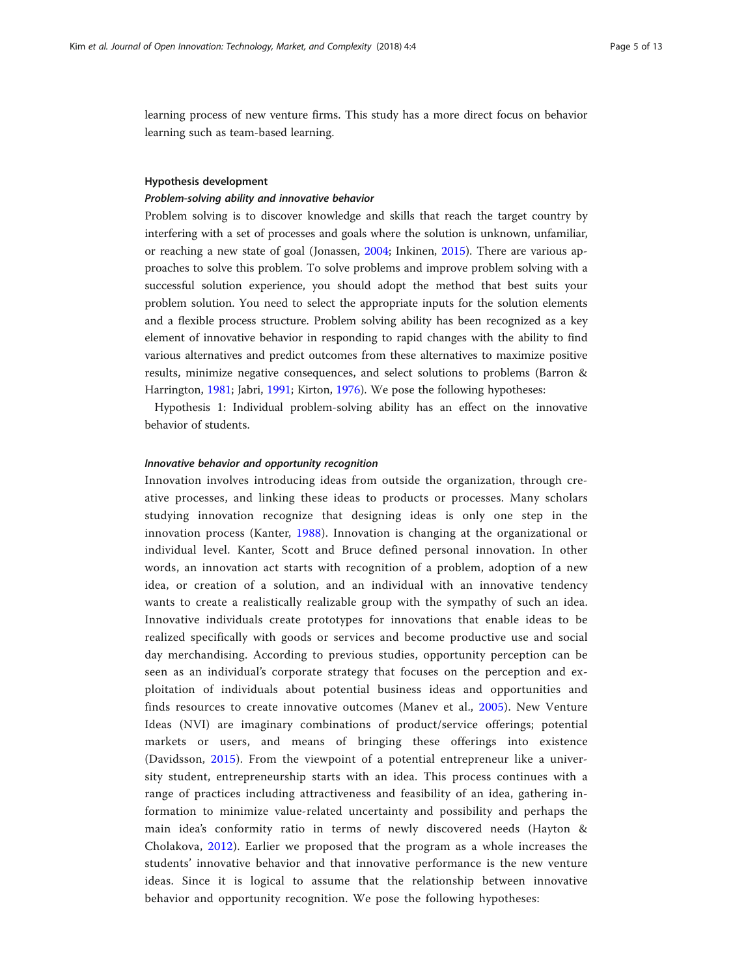learning process of new venture firms. This study has a more direct focus on behavior learning such as team-based learning.

#### Hypothesis development

# Problem-solving ability and innovative behavior

Problem solving is to discover knowledge and skills that reach the target country by interfering with a set of processes and goals where the solution is unknown, unfamiliar, or reaching a new state of goal (Jonassen, [2004;](#page-11-0) Inkinen, [2015](#page-11-0)). There are various approaches to solve this problem. To solve problems and improve problem solving with a successful solution experience, you should adopt the method that best suits your problem solution. You need to select the appropriate inputs for the solution elements and a flexible process structure. Problem solving ability has been recognized as a key element of innovative behavior in responding to rapid changes with the ability to find various alternatives and predict outcomes from these alternatives to maximize positive results, minimize negative consequences, and select solutions to problems (Barron & Harrington, [1981](#page-11-0); Jabri, [1991;](#page-11-0) Kirton, [1976\)](#page-11-0). We pose the following hypotheses:

Hypothesis 1: Individual problem-solving ability has an effect on the innovative behavior of students.

# Innovative behavior and opportunity recognition

Innovation involves introducing ideas from outside the organization, through creative processes, and linking these ideas to products or processes. Many scholars studying innovation recognize that designing ideas is only one step in the innovation process (Kanter, [1988](#page-11-0)). Innovation is changing at the organizational or individual level. Kanter, Scott and Bruce defined personal innovation. In other words, an innovation act starts with recognition of a problem, adoption of a new idea, or creation of a solution, and an individual with an innovative tendency wants to create a realistically realizable group with the sympathy of such an idea. Innovative individuals create prototypes for innovations that enable ideas to be realized specifically with goods or services and become productive use and social day merchandising. According to previous studies, opportunity perception can be seen as an individual's corporate strategy that focuses on the perception and exploitation of individuals about potential business ideas and opportunities and finds resources to create innovative outcomes (Manev et al., [2005\)](#page-12-0). New Venture Ideas (NVI) are imaginary combinations of product/service offerings; potential markets or users, and means of bringing these offerings into existence (Davidsson, [2015\)](#page-11-0). From the viewpoint of a potential entrepreneur like a university student, entrepreneurship starts with an idea. This process continues with a range of practices including attractiveness and feasibility of an idea, gathering information to minimize value-related uncertainty and possibility and perhaps the main idea's conformity ratio in terms of newly discovered needs (Hayton & Cholakova, [2012](#page-11-0)). Earlier we proposed that the program as a whole increases the students' innovative behavior and that innovative performance is the new venture ideas. Since it is logical to assume that the relationship between innovative behavior and opportunity recognition. We pose the following hypotheses: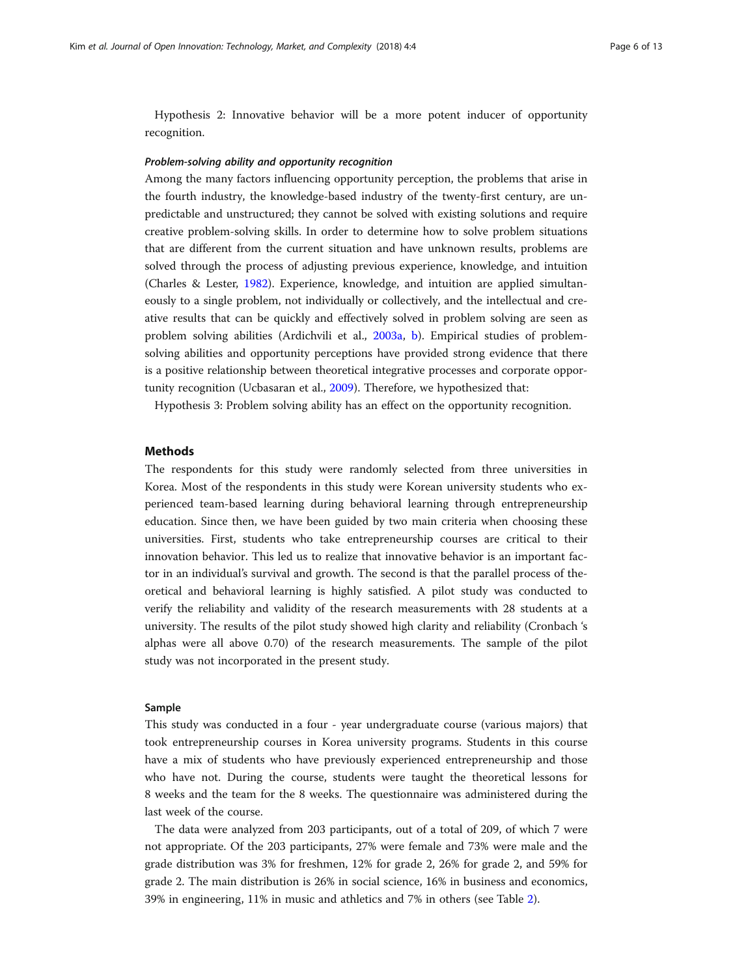Hypothesis 2: Innovative behavior will be a more potent inducer of opportunity recognition.

#### Problem-solving ability and opportunity recognition

Among the many factors influencing opportunity perception, the problems that arise in the fourth industry, the knowledge-based industry of the twenty-first century, are unpredictable and unstructured; they cannot be solved with existing solutions and require creative problem-solving skills. In order to determine how to solve problem situations that are different from the current situation and have unknown results, problems are solved through the process of adjusting previous experience, knowledge, and intuition (Charles & Lester, [1982\)](#page-11-0). Experience, knowledge, and intuition are applied simultaneously to a single problem, not individually or collectively, and the intellectual and creative results that can be quickly and effectively solved in problem solving are seen as problem solving abilities (Ardichvili et al., [2003a](#page-11-0), [b\)](#page-11-0). Empirical studies of problemsolving abilities and opportunity perceptions have provided strong evidence that there is a positive relationship between theoretical integrative processes and corporate opportunity recognition (Ucbasaran et al., [2009](#page-12-0)). Therefore, we hypothesized that:

Hypothesis 3: Problem solving ability has an effect on the opportunity recognition.

### Methods

The respondents for this study were randomly selected from three universities in Korea. Most of the respondents in this study were Korean university students who experienced team-based learning during behavioral learning through entrepreneurship education. Since then, we have been guided by two main criteria when choosing these universities. First, students who take entrepreneurship courses are critical to their innovation behavior. This led us to realize that innovative behavior is an important factor in an individual's survival and growth. The second is that the parallel process of theoretical and behavioral learning is highly satisfied. A pilot study was conducted to verify the reliability and validity of the research measurements with 28 students at a university. The results of the pilot study showed high clarity and reliability (Cronbach 's alphas were all above 0.70) of the research measurements. The sample of the pilot study was not incorporated in the present study.

#### Sample

This study was conducted in a four - year undergraduate course (various majors) that took entrepreneurship courses in Korea university programs. Students in this course have a mix of students who have previously experienced entrepreneurship and those who have not. During the course, students were taught the theoretical lessons for 8 weeks and the team for the 8 weeks. The questionnaire was administered during the last week of the course.

The data were analyzed from 203 participants, out of a total of 209, of which 7 were not appropriate. Of the 203 participants, 27% were female and 73% were male and the grade distribution was 3% for freshmen, 12% for grade 2, 26% for grade 2, and 59% for grade 2. The main distribution is 26% in social science, 16% in business and economics, 39% in engineering, 11% in music and athletics and 7% in others (see Table [2\)](#page-6-0).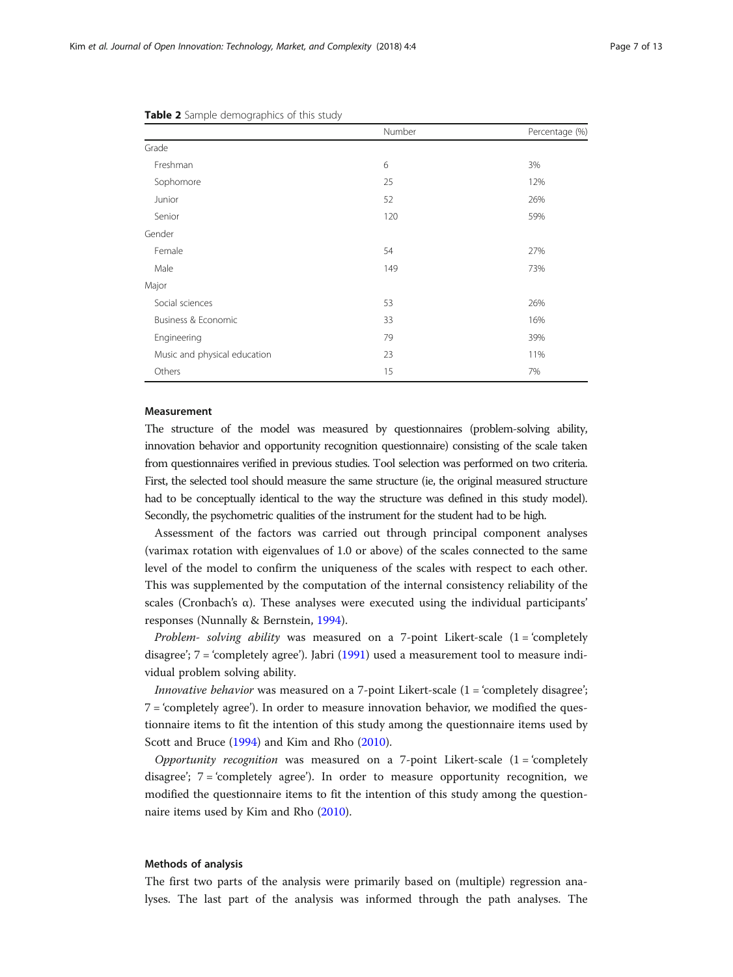|                              | Number | Percentage (%) |
|------------------------------|--------|----------------|
| Grade                        |        |                |
| Freshman                     | 6      | 3%             |
| Sophomore                    | 25     | 12%            |
| Junior                       | 52     | 26%            |
| Senior                       | 120    | 59%            |
| Gender                       |        |                |
| Female                       | 54     | 27%            |
| Male                         | 149    | 73%            |
| Major                        |        |                |
| Social sciences              | 53     | 26%            |
| Business & Economic          | 33     | 16%            |
| Engineering                  | 79     | 39%            |
| Music and physical education | 23     | 11%            |
| Others                       | 15     | 7%             |

<span id="page-6-0"></span>Table 2 Sample demographics of this study

#### **Measurement**

The structure of the model was measured by questionnaires (problem-solving ability, innovation behavior and opportunity recognition questionnaire) consisting of the scale taken from questionnaires verified in previous studies. Tool selection was performed on two criteria. First, the selected tool should measure the same structure (ie, the original measured structure had to be conceptually identical to the way the structure was defined in this study model). Secondly, the psychometric qualities of the instrument for the student had to be high.

Assessment of the factors was carried out through principal component analyses (varimax rotation with eigenvalues of 1.0 or above) of the scales connected to the same level of the model to confirm the uniqueness of the scales with respect to each other. This was supplemented by the computation of the internal consistency reliability of the scales (Cronbach's  $\alpha$ ). These analyses were executed using the individual participants' responses (Nunnally & Bernstein, [1994](#page-12-0)).

*Problem- solving ability* was measured on a 7-point Likert-scale  $(1 = \text{completely})$ disagree'; 7= 'completely agree'). Jabri ([1991](#page-11-0)) used a measurement tool to measure individual problem solving ability.

Innovative behavior was measured on a 7-point Likert-scale (1 = 'completely disagree'; 7 = 'completely agree'). In order to measure innovation behavior, we modified the questionnaire items to fit the intention of this study among the questionnaire items used by Scott and Bruce [\(1994\)](#page-12-0) and Kim and Rho ([2010](#page-11-0)).

Opportunity recognition was measured on a 7-point Likert-scale  $(1 = 'completely$ disagree'; 7= 'completely agree'). In order to measure opportunity recognition, we modified the questionnaire items to fit the intention of this study among the questionnaire items used by Kim and Rho [\(2010\)](#page-11-0).

# Methods of analysis

The first two parts of the analysis were primarily based on (multiple) regression analyses. The last part of the analysis was informed through the path analyses. The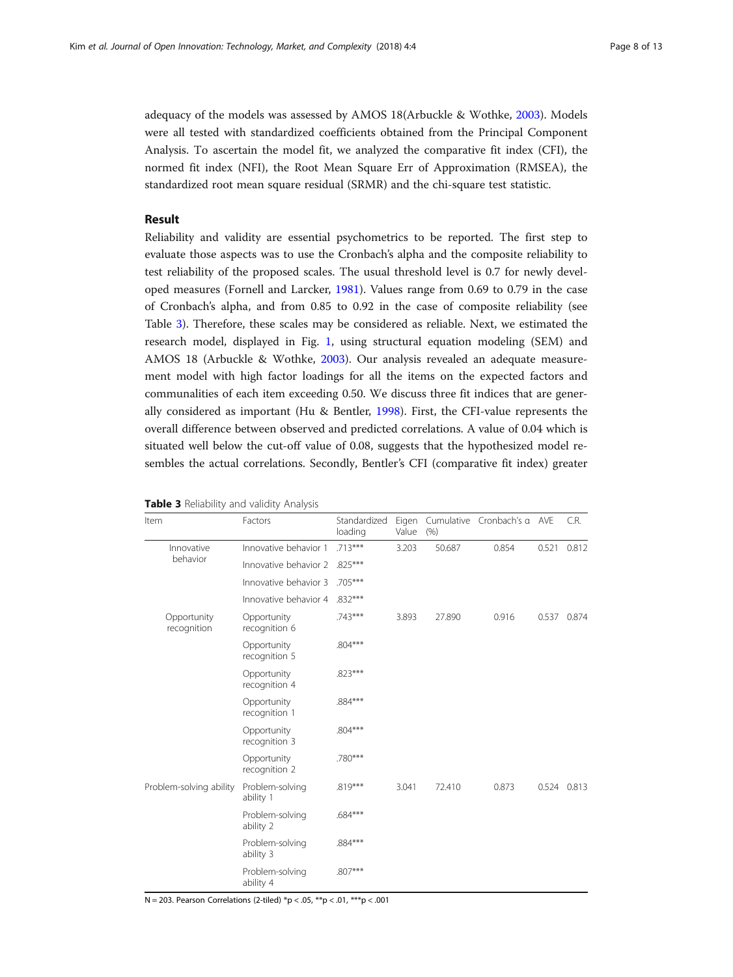<span id="page-7-0"></span>adequacy of the models was assessed by AMOS 18(Arbuckle & Wothke, [2003](#page-11-0)). Models were all tested with standardized coefficients obtained from the Principal Component Analysis. To ascertain the model fit, we analyzed the comparative fit index (CFI), the normed fit index (NFI), the Root Mean Square Err of Approximation (RMSEA), the standardized root mean square residual (SRMR) and the chi-square test statistic.

# Result

Reliability and validity are essential psychometrics to be reported. The first step to evaluate those aspects was to use the Cronbach's alpha and the composite reliability to test reliability of the proposed scales. The usual threshold level is 0.7 for newly developed measures (Fornell and Larcker, [1981](#page-11-0)). Values range from 0.69 to 0.79 in the case of Cronbach's alpha, and from 0.85 to 0.92 in the case of composite reliability (see Table 3). Therefore, these scales may be considered as reliable. Next, we estimated the research model, displayed in Fig. [1](#page-8-0), using structural equation modeling (SEM) and AMOS 18 (Arbuckle & Wothke, [2003](#page-11-0)). Our analysis revealed an adequate measurement model with high factor loadings for all the items on the expected factors and communalities of each item exceeding 0.50. We discuss three fit indices that are generally considered as important (Hu & Bentler, [1998](#page-11-0)). First, the CFI-value represents the overall difference between observed and predicted correlations. A value of 0.04 which is situated well below the cut-off value of 0.08, suggests that the hypothesized model resembles the actual correlations. Secondly, Bentler's CFI (comparative fit index) greater

| Item                       | Factors                      | Standardized<br>loading | Eigen<br>Value | (% )   | Cumulative Cronbach's a AVE |       | C.R.        |
|----------------------------|------------------------------|-------------------------|----------------|--------|-----------------------------|-------|-------------|
| Innovative                 | Innovative behavior 1        | $.713***$               | 3.203          | 50.687 | 0.854                       | 0.521 | 0.812       |
| behavior                   | Innovative behavior 2        | $.825***$               |                |        |                             |       |             |
|                            | Innovative behavior 3        | .705***                 |                |        |                             |       |             |
|                            | Innovative behavior 4        | .832***                 |                |        |                             |       |             |
| Opportunity<br>recognition | Opportunity<br>recognition 6 | $.743***$               | 3.893          | 27.890 | 0.916                       |       | 0.537 0.874 |
|                            | Opportunity<br>recognition 5 | .804***                 |                |        |                             |       |             |
|                            | Opportunity<br>recognition 4 | .823***                 |                |        |                             |       |             |
|                            | Opportunity<br>recognition 1 | .884***                 |                |        |                             |       |             |
|                            | Opportunity<br>recognition 3 | .804***                 |                |        |                             |       |             |
|                            | Opportunity<br>recognition 2 | .780***                 |                |        |                             |       |             |
| Problem-solving ability    | Problem-solving<br>ability 1 | .819***                 | 3.041          | 72.410 | 0.873                       |       | 0.524 0.813 |
|                            | Problem-solving<br>ability 2 | .684***                 |                |        |                             |       |             |
|                            | Problem-solving<br>ability 3 | .884***                 |                |        |                             |       |             |
|                            | Problem-solving<br>ability 4 | .807***                 |                |        |                             |       |             |

N = 203. Pearson Correlations (2-tiled) \*p < .05, \*\*p < .01, \*\*\*p < .001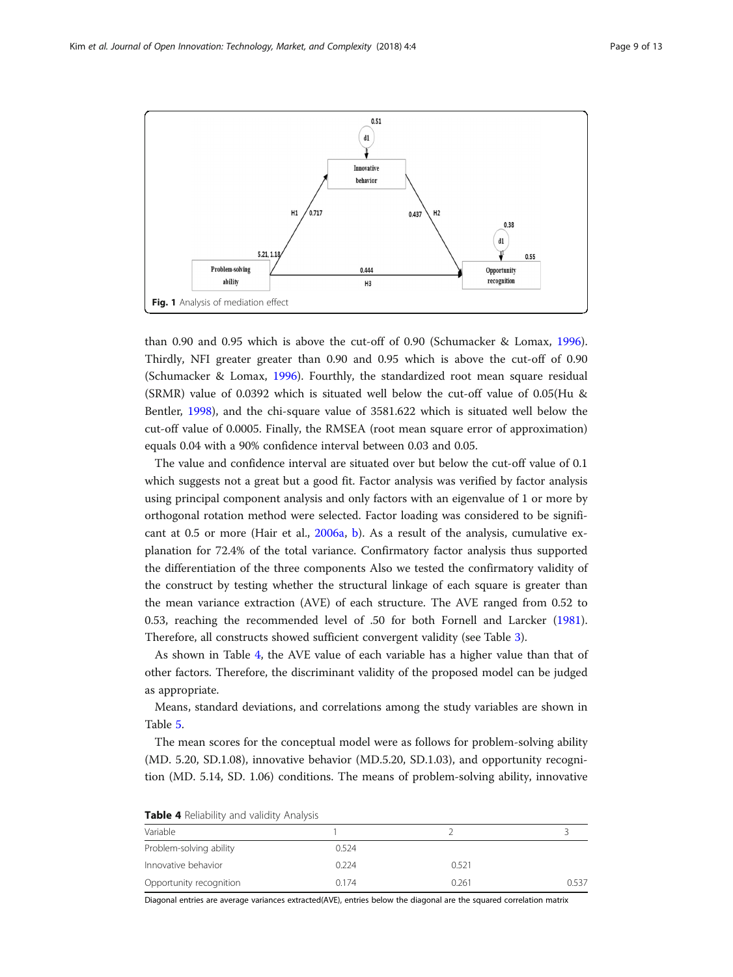<span id="page-8-0"></span>

than 0.90 and 0.95 which is above the cut-off of 0.90 (Schumacker & Lomax, [1996](#page-12-0)). Thirdly, NFI greater greater than 0.90 and 0.95 which is above the cut-off of 0.90 (Schumacker & Lomax, [1996](#page-12-0)). Fourthly, the standardized root mean square residual (SRMR) value of 0.0392 which is situated well below the cut-off value of 0.05(Hu & Bentler, [1998](#page-11-0)), and the chi-square value of 3581.622 which is situated well below the cut-off value of 0.0005. Finally, the RMSEA (root mean square error of approximation) equals 0.04 with a 90% confidence interval between 0.03 and 0.05.

The value and confidence interval are situated over but below the cut-off value of 0.1 which suggests not a great but a good fit. Factor analysis was verified by factor analysis using principal component analysis and only factors with an eigenvalue of 1 or more by orthogonal rotation method were selected. Factor loading was considered to be significant at 0.5 or more (Hair et al., [2006a](#page-11-0), [b](#page-11-0)). As a result of the analysis, cumulative explanation for 72.4% of the total variance. Confirmatory factor analysis thus supported the differentiation of the three components Also we tested the confirmatory validity of the construct by testing whether the structural linkage of each square is greater than the mean variance extraction (AVE) of each structure. The AVE ranged from 0.52 to 0.53, reaching the recommended level of .50 for both Fornell and Larcker ([1981](#page-11-0)). Therefore, all constructs showed sufficient convergent validity (see Table [3](#page-7-0)).

As shown in Table 4, the AVE value of each variable has a higher value than that of other factors. Therefore, the discriminant validity of the proposed model can be judged as appropriate.

Means, standard deviations, and correlations among the study variables are shown in Table [5.](#page-9-0)

The mean scores for the conceptual model were as follows for problem-solving ability (MD. 5.20, SD.1.08), innovative behavior (MD.5.20, SD.1.03), and opportunity recognition (MD. 5.14, SD. 1.06) conditions. The means of problem-solving ability, innovative

| <b>TWINTER</b> Profitability and randity rules you |       |       |       |  |  |  |
|----------------------------------------------------|-------|-------|-------|--|--|--|
| Variable                                           |       |       |       |  |  |  |
| Problem-solving ability                            | 0.524 |       |       |  |  |  |
| Innovative behavior                                | 0.224 | 0.521 |       |  |  |  |
| Opportunity recognition                            | 0.174 | 0.261 | 0.537 |  |  |  |

Table 4 Reliability and validity Analysis

Diagonal entries are average variances extracted(AVE), entries below the diagonal are the squared correlation matrix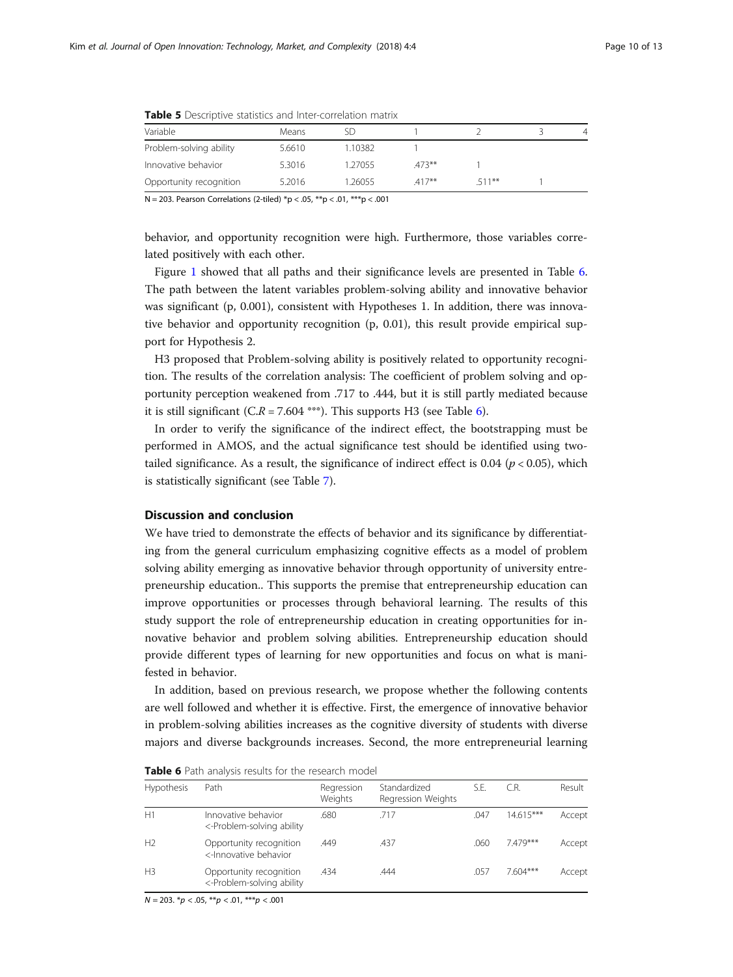| <b>I WINTER &amp;</b> DUSCHIPLIVE SCALISTICS OFICE ITIES COTTERED IT ITIOLITY. |        |         |         |  |  |  |  |
|--------------------------------------------------------------------------------|--------|---------|---------|--|--|--|--|
| Variable                                                                       | Means  |         |         |  |  |  |  |
| Problem-solving ability                                                        | 5.6610 | 1.10382 |         |  |  |  |  |
| Innovative behavior                                                            | 5.3016 | 27055   | $473**$ |  |  |  |  |

Opportunity recognition  $5.2016$  1.26055 .417\*\* .511\*\*

<span id="page-9-0"></span>Table 5 Descriptive statistics and Inter-correlation matrix

N = 203. Pearson Correlations (2-tiled) \*p < .05, \*\*p < .01, \*\*\*p < .001

behavior, and opportunity recognition were high. Furthermore, those variables correlated positively with each other.

Figure [1](#page-8-0) showed that all paths and their significance levels are presented in Table 6. The path between the latent variables problem-solving ability and innovative behavior was significant (p, 0.001), consistent with Hypotheses 1. In addition, there was innovative behavior and opportunity recognition (p, 0.01), this result provide empirical support for Hypothesis 2.

H3 proposed that Problem-solving ability is positively related to opportunity recognition. The results of the correlation analysis: The coefficient of problem solving and opportunity perception weakened from .717 to .444, but it is still partly mediated because it is still significant  $(C.R = 7.604$  \*\*\*). This supports H3 (see Table 6).

In order to verify the significance of the indirect effect, the bootstrapping must be performed in AMOS, and the actual significance test should be identified using twotailed significance. As a result, the significance of indirect effect is 0.04 ( $p < 0.05$ ), which is statistically significant (see Table [7\)](#page-10-0).

# Discussion and conclusion

We have tried to demonstrate the effects of behavior and its significance by differentiating from the general curriculum emphasizing cognitive effects as a model of problem solving ability emerging as innovative behavior through opportunity of university entrepreneurship education.. This supports the premise that entrepreneurship education can improve opportunities or processes through behavioral learning. The results of this study support the role of entrepreneurship education in creating opportunities for innovative behavior and problem solving abilities. Entrepreneurship education should provide different types of learning for new opportunities and focus on what is manifested in behavior.

In addition, based on previous research, we propose whether the following contents are well followed and whether it is effective. First, the emergence of innovative behavior in problem-solving abilities increases as the cognitive diversity of students with diverse majors and diverse backgrounds increases. Second, the more entrepreneurial learning

| <b>Hypothesis</b> | Path                                                 | Regression<br>Weights | Standardized<br>Regression Weights | S.F. | C.R.        | Result |
|-------------------|------------------------------------------------------|-----------------------|------------------------------------|------|-------------|--------|
| H1                | Innovative behavior<br><-Problem-solving ability     | .680                  | .717                               | .047 | $14.615***$ | Accept |
| H <sub>2</sub>    | Opportunity recognition<br><-Innovative behavior     | .449                  | .437                               | .060 | 7479***     | Accept |
| H <sub>3</sub>    | Opportunity recognition<br><-Problem-solving ability | .434                  | .444                               | .057 | $7.604***$  | Accept |

Table 6 Path analysis results for the research model

 $N=203.~^{\ast} p < .05,~^{ \ast\ast} p < .01,~^{ \ast\ast\ast} p < .001$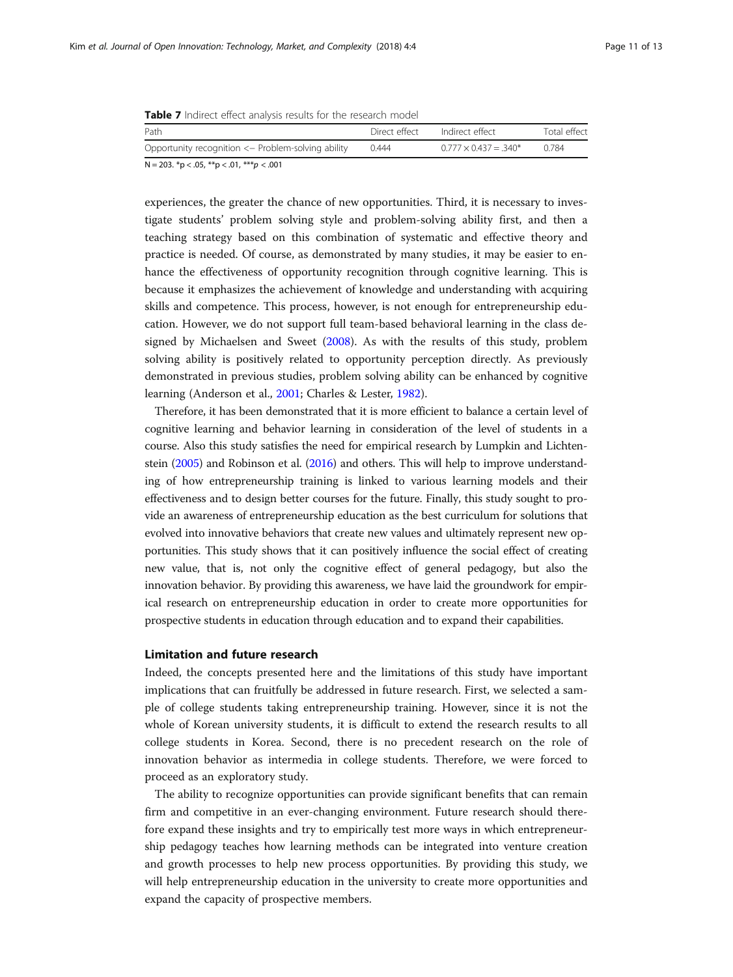<span id="page-10-0"></span>Table 7 Indirect effect analysis results for the research model

| Path                                               | Direct effect | Indirect effect               | Total effect |
|----------------------------------------------------|---------------|-------------------------------|--------------|
| Opportunity recognition <- Problem-solving ability | 0.444         | $0.777 \times 0.437 = 0.340*$ | 0.784        |
| N = 203. $np < .05$ , $**p < .01$ , $***p < .001$  |               |                               |              |

experiences, the greater the chance of new opportunities. Third, it is necessary to investigate students' problem solving style and problem-solving ability first, and then a teaching strategy based on this combination of systematic and effective theory and practice is needed. Of course, as demonstrated by many studies, it may be easier to enhance the effectiveness of opportunity recognition through cognitive learning. This is because it emphasizes the achievement of knowledge and understanding with acquiring skills and competence. This process, however, is not enough for entrepreneurship education. However, we do not support full team-based behavioral learning in the class designed by Michaelsen and Sweet [\(2008\)](#page-12-0). As with the results of this study, problem solving ability is positively related to opportunity perception directly. As previously demonstrated in previous studies, problem solving ability can be enhanced by cognitive learning (Anderson et al., [2001](#page-11-0); Charles & Lester, [1982\)](#page-11-0).

Therefore, it has been demonstrated that it is more efficient to balance a certain level of cognitive learning and behavior learning in consideration of the level of students in a course. Also this study satisfies the need for empirical research by Lumpkin and Lichtenstein ([2005\)](#page-12-0) and Robinson et al. [\(2016\)](#page-12-0) and others. This will help to improve understanding of how entrepreneurship training is linked to various learning models and their effectiveness and to design better courses for the future. Finally, this study sought to provide an awareness of entrepreneurship education as the best curriculum for solutions that evolved into innovative behaviors that create new values and ultimately represent new opportunities. This study shows that it can positively influence the social effect of creating new value, that is, not only the cognitive effect of general pedagogy, but also the innovation behavior. By providing this awareness, we have laid the groundwork for empirical research on entrepreneurship education in order to create more opportunities for prospective students in education through education and to expand their capabilities.

# Limitation and future research

Indeed, the concepts presented here and the limitations of this study have important implications that can fruitfully be addressed in future research. First, we selected a sample of college students taking entrepreneurship training. However, since it is not the whole of Korean university students, it is difficult to extend the research results to all college students in Korea. Second, there is no precedent research on the role of innovation behavior as intermedia in college students. Therefore, we were forced to proceed as an exploratory study.

The ability to recognize opportunities can provide significant benefits that can remain firm and competitive in an ever-changing environment. Future research should therefore expand these insights and try to empirically test more ways in which entrepreneurship pedagogy teaches how learning methods can be integrated into venture creation and growth processes to help new process opportunities. By providing this study, we will help entrepreneurship education in the university to create more opportunities and expand the capacity of prospective members.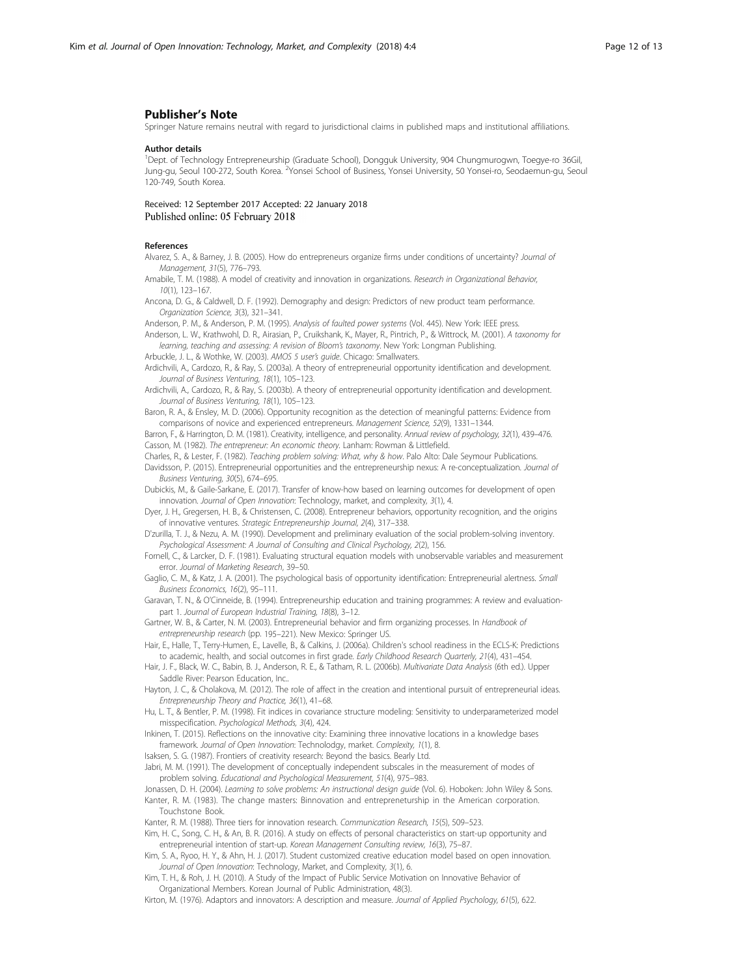# <span id="page-11-0"></span>Publisher's Note

Springer Nature remains neutral with regard to jurisdictional claims in published maps and institutional affiliations.

#### Author details

1 Dept. of Technology Entrepreneurship (Graduate School), Dongguk University, 904 Chungmurogwn, Toegye-ro 36Gil, Jung-gu, Seoul 100-272, South Korea. <sup>2</sup>Yonsei School of Business, Yonsei University, 50 Yonsei-ro, Seodaemun-gu, Seoul 120-749, South Korea.

#### Received: 12 September 2017 Accepted: 22 January 2018 Published online: 05 February 2018

#### References

- Alvarez, S. A., & Barney, J. B. (2005). How do entrepreneurs organize firms under conditions of uncertainty? Journal of Management, 31(5), 776–793.
- Amabile, T. M. (1988). A model of creativity and innovation in organizations. Research in Organizational Behavior, 10(1), 123–167.
- Ancona, D. G., & Caldwell, D. F. (1992). Demography and design: Predictors of new product team performance. Organization Science, 3(3), 321–341.
- Anderson, P. M., & Anderson, P. M. (1995). Analysis of faulted power systems (Vol. 445). New York: IEEE press.
- Anderson, L. W., Krathwohl, D. R., Airasian, P., Cruikshank, K., Mayer, R., Pintrich, P., & Wittrock, M. (2001). A taxonomy for learning, teaching and assessing: A revision of Bloom's taxonomy. New York: Longman Publishing.
- Arbuckle, J. L., & Wothke, W. (2003). AMOS 5 user's guide. Chicago: Smallwaters.
- Ardichvili, A., Cardozo, R., & Ray, S. (2003a). A theory of entrepreneurial opportunity identification and development. Journal of Business Venturing, 18(1), 105–123.
- Ardichvili, A., Cardozo, R., & Ray, S. (2003b). A theory of entrepreneurial opportunity identification and development. Journal of Business Venturing, 18(1), 105–123.
- Baron, R. A., & Ensley, M. D. (2006). Opportunity recognition as the detection of meaningful patterns: Evidence from comparisons of novice and experienced entrepreneurs. Management Science, 52(9), 1331–1344.
- Barron, F., & Harrington, D. M. (1981). Creativity, intelligence, and personality. Annual review of psychology, 32(1), 439-476. Casson, M. (1982). The entrepreneur: An economic theory. Lanham: Rowman & Littlefield.
- Charles, R., & Lester, F. (1982). Teaching problem solving: What, why & how. Palo Alto: Dale Seymour Publications.
- Davidsson, P. (2015). Entrepreneurial opportunities and the entrepreneurship nexus: A re-conceptualization. Journal of Business Venturing, 30(5), 674–695.
- Dubickis, M., & Gaile-Sarkane, E. (2017). Transfer of know-how based on learning outcomes for development of open innovation. Journal of Open Innovation: Technology, market, and complexity, 3(1), 4.
- Dyer, J. H., Gregersen, H. B., & Christensen, C. (2008). Entrepreneur behaviors, opportunity recognition, and the origins of innovative ventures. Strategic Entrepreneurship Journal, 2(4), 317–338.
- D'zurilla, T. J., & Nezu, A. M. (1990). Development and preliminary evaluation of the social problem-solving inventory. Psychological Assessment: A Journal of Consulting and Clinical Psychology, 2(2), 156.
- Fornell, C., & Larcker, D. F. (1981). Evaluating structural equation models with unobservable variables and measurement error. Journal of Marketing Research, 39–50.
- Gaglio, C. M., & Katz, J. A. (2001). The psychological basis of opportunity identification: Entrepreneurial alertness. Small Business Economics, 16(2), 95–111.
- Garavan, T. N., & O'Cinneide, B. (1994). Entrepreneurship education and training programmes: A review and evaluationpart 1. Journal of European Industrial Training, 18(8), 3–12.

Gartner, W. B., & Carter, N. M. (2003). Entrepreneurial behavior and firm organizing processes. In Handbook of entrepreneurship research (pp. 195–221). New Mexico: Springer US.

Hair, E., Halle, T., Terry-Humen, E., Lavelle, B., & Calkins, J. (2006a). Children's school readiness in the ECLS-K: Predictions to academic, health, and social outcomes in first grade. Early Childhood Research Quarterly, 21(4), 431–454.

Hair, J. F., Black, W. C., Babin, B. J., Anderson, R. E., & Tatham, R. L. (2006b). Multivariate Data Analysis (6th ed.). Upper Saddle River: Pearson Education, Inc..

- Hayton, J. C., & Cholakova, M. (2012). The role of affect in the creation and intentional pursuit of entrepreneurial ideas. Entrepreneurship Theory and Practice, 36(1), 41–68.
- Hu, L. T., & Bentler, P. M. (1998). Fit indices in covariance structure modeling: Sensitivity to underparameterized model misspecification. Psychological Methods, 3(4), 424.
- Inkinen, T. (2015). Reflections on the innovative city: Examining three innovative locations in a knowledge bases framework. Journal of Open Innovation: Technolodgy, market. Complexity, 1(1), 8.

Isaksen, S. G. (1987). Frontiers of creativity research: Beyond the basics. Bearly Ltd.

Jabri, M. M. (1991). The development of conceptually independent subscales in the measurement of modes of problem solving. Educational and Psychological Measurement, 51(4), 975–983.

- Jonassen, D. H. (2004). Learning to solve problems: An instructional design guide (Vol. 6). Hoboken: John Wiley & Sons. Kanter, R. M. (1983). The change masters: Binnovation and entrepreneturship in the American corporation. Touchstone Book.
- Kanter, R. M. (1988). Three tiers for innovation research. Communication Research, 15(5), 509–523.
- Kim, H. C., Song, C. H., & An, B. R. (2016). A study on effects of personal characteristics on start-up opportunity and entrepreneurial intention of start-up. Korean Management Consulting review, 16(3), 75–87.
- Kim, S. A., Ryoo, H. Y., & Ahn, H. J. (2017). Student customized creative education model based on open innovation. Journal of Open Innovation: Technology, Market, and Complexity, 3(1), 6.

Kim, T. H., & Roh, J. H. (2010). A Study of the Impact of Public Service Motivation on Innovative Behavior of Organizational Members. Korean Journal of Public Administration, 48(3).

Kirton, M. (1976). Adaptors and innovators: A description and measure. Journal of Applied Psychology, 61(5), 622.